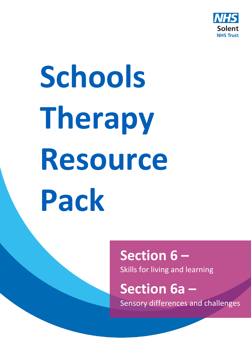

# **Schools Therapy Resource Pack**

### **Section 6 –** Skills for living and learning

## **Section 6a –**

Sensory differences and challenges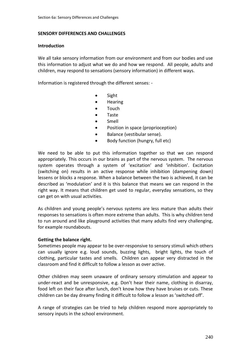#### **SENSORY DIFFERENCES AND CHALLENGES**

#### **Introduction**

We all take sensory information from our environment and from our bodies and use this information to adjust what we do and how we respond. All people, adults and children, may respond to sensations (sensory information) in different ways.

Information is registered through the different senses: -

- Sight
- Hearing
- Touch
- Taste
- Smell
- Position in space (proprioception)
- Balance (vestibular sense).
- Body function (hungry, full etc)

We need to be able to put this information together so that we can respond appropriately. This occurs in our brains as part of the nervous system. The nervous system operates through a system of 'excitation' and 'inhibition'. Excitation (switching on) results in an active response while inhibition (dampening down) lessens or blocks a response. When a balance between the two is achieved, it can be described as 'modulation' and it is this balance that means we can respond in the right way. It means that children get used to regular, everyday sensations, so they can get on with usual activities.

As children and young people's nervous systems are less mature than adults their responses to sensations is often more extreme than adults. This is why children tend to run around and like playground activities that many adults find very challenging, for example roundabouts.

#### **Getting the balance right.**

Sometimes people may appear to be over-responsive to sensory stimuli which others can usually ignore e.g. loud sounds, buzzing lights, bright lights, the touch of clothing, particular tastes and smells. Children can appear very distracted in the classroom and find it difficult to follow a lesson as over active.

Other children may seem unaware of ordinary sensory stimulation and appear to under-react and be unresponsive, e.g. Don't hear their name, clothing in disarray, food left on their face after lunch, don't know how they have bruises or cuts. These children can be day dreamy finding it difficult to follow a lesson as 'switched off'.

A range of strategies can be tried to help children respond more appropriately to sensory inputs in the school environment.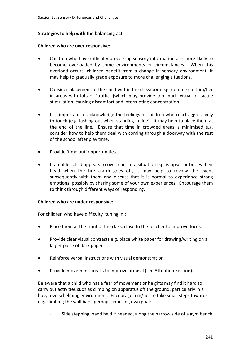#### **Strategies to help with the balancing act.**

#### **Children who are over-responsive:-**

- Children who have difficulty processing sensory information are more likely to become overloaded by some environments or circumstances. When this overload occurs, children benefit from a change in sensory environment. It may help to gradually grade exposure to more challenging situations.
- Consider placement of the child within the classroom e.g. do not seat him/her in areas with lots of 'traffic' (which may provide too much visual or tactile stimulation, causing discomfort and interrupting concentration).
- It is important to acknowledge the feelings of children who react aggressively to touch (e.g. lashing out when standing in line). It may help to place them at the end of the line. Ensure that time in crowded areas is minimised e.g. consider how to help them deal with coming through a doorway with the rest of the school after play time.
- Provide 'time out' opportunities.
- If an older child appears to overreact to a situation e.g. is upset or buries their head when the fire alarm goes off, it may help to review the event subsequently with them and discuss that it is normal to experience strong emotions, possibly by sharing some of your own experiences. Encourage them to think through different ways of responding.

#### **Children who are under-responsive:-**

For children who have difficulty 'tuning in':

- Place them at the front of the class, close to the teacher to improve focus.
- Provide clear visual contrasts e.g. place white paper for drawing/writing on a larger piece of dark paper
- Reinforce verbal instructions with visual demonstration
- Provide movement breaks to improve arousal (see Attention Section).

Be aware that a child who has a fear of movement or heights may find it hard to carry out activities such as climbing on apparatus off the ground, particularly in a busy, overwhelming environment. Encourage him/her to take small steps towards e.g. climbing the wall bars, perhaps choosing own goal:

Side stepping, hand held if needed, along the narrow side of a gym bench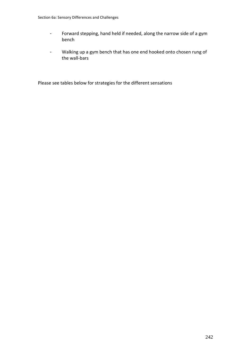- Forward stepping, hand held if needed, along the narrow side of a gym bench
- Walking up a gym bench that has one end hooked onto chosen rung of the wall-bars

Please see tables below for strategies for the different sensations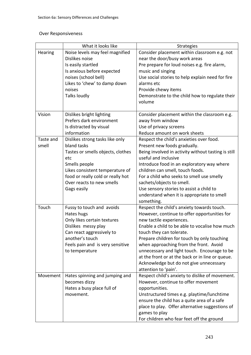#### Over Responsiveness

|           | What it looks like                | <b>Strategies</b>                                   |
|-----------|-----------------------------------|-----------------------------------------------------|
| Hearing   | Noise levels may feel magnified   | Consider placement within classroom e.g. not        |
|           | Dislikes noise                    | near the door/busy work areas                       |
|           | Is easily startled                | Pre prepare for loud noises e.g. fire alarm,        |
|           | Is anxious before expected        | music and singing                                   |
|           | noises (school bell)              | Use social stories to help explain need for fire    |
|           | Likes to 'chew' to damp down      | alarms etc                                          |
|           | noises                            | Provide chewy items                                 |
|           | Talks loudly                      | Demonstrate to the child how to regulate their      |
|           |                                   | volume                                              |
| Vision    | Dislikes bright lighting          | Consider placement within the classroom e.g.        |
|           | Prefers dark environment          | away from window                                    |
|           | Is distracted by visual           | Use of privacy screens                              |
|           | information                       | Reduce amount on work sheets                        |
| Taste and | Dislikes strong tasks like only   | Respect the child's anxieties over food.            |
| smell     | bland tasks                       | Present new foods gradually.                        |
|           | Tastes or smells objects, clothes | Being involved in activity without tasting is still |
|           | etc                               | useful and inclusive                                |
|           | Smells people                     | Introduce food in an exploratory way where          |
|           | Likes consistent temperature of   | children can smell, touch foods.                    |
|           | food or really cold or really hot | For a child who seeks to smell use smelly           |
|           | Over reacts to new smells         | sachets/objects to smell.                           |
|           | Gags easily                       | Use sensory stories to assist a child to            |
|           |                                   | understand when it is appropriate to smell          |
|           |                                   | something.                                          |
| Touch     | Fussy to touch and avoids         | Respect the child's anxiety towards touch.          |
|           | Hates hugs                        | However, continue to offer opportunities for        |
|           | Only likes certain textures       | new tactile experiences.                            |
|           | Dislikes messy play               | Enable a child to be able to vocalise how much      |
|           | Can react aggressively to         | touch they can tolerate.                            |
|           | another's touch                   | Prepare children for touch by only touching         |
|           | Feels pain and is very sensitive  | when approaching from the front. Avoid              |
|           | to temperature                    | unnecessary and light touch. Encourage to be        |
|           |                                   | at the front or at the back or in line or queue.    |
|           |                                   | Acknowledge but do not give unnecessary             |
|           |                                   | attention to 'pain'.                                |
| Movement  | Hates spinning and jumping and    | Respect child's anxiety to dislike of movement.     |
|           | becomes dizzy                     | However, continue to offer movement                 |
|           | Hates a busy place full of        | opportunities.                                      |
|           | movement.                         | Unstructured times e.g. playtime/lunchtime          |
|           |                                   | ensure the child has a quite area of a safe         |
|           |                                   | place to play. Offer alternative suggestions of     |
|           |                                   | games to play                                       |
|           |                                   | For children who fear feet off the ground           |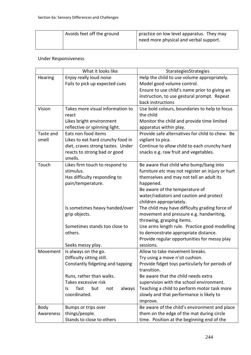| Avoids feet off the ground | practice on low level apparatus. They may<br>need more physical and verbal support. |
|----------------------------|-------------------------------------------------------------------------------------|
|                            |                                                                                     |

#### Under Responsiveness

|           | What it looks like                  | StarategiesStrategies                                                                 |
|-----------|-------------------------------------|---------------------------------------------------------------------------------------|
| Hearing   | Enjoy really loud noise             | Help the child to use volume appropriately.                                           |
|           | Fails to pick up expected cues      | Model good volume control.                                                            |
|           |                                     | Ensure to use child's name prior to giving an                                         |
|           |                                     | instruction, to use gestural prompt. Repeat                                           |
|           |                                     | back instructions                                                                     |
| Vision    | Takes more visual information to    | Use bold colours, boundaries to help to focus                                         |
|           | react                               | the child                                                                             |
|           | Likes bright environment            | Monitor the child and provide time limited                                            |
|           | reflective or spinning light.       | apparatus within play.                                                                |
| Taste and | Eats non food items                 | Provide safe alternatives for child to chew. Be                                       |
| smell     | Likes to eat hard crunchy food in   | vigilant to pica.                                                                     |
|           | diet, craves strong tastes. Under   | Continue to allow child to each crunchy hard                                          |
|           | reacts to strong bad or good        | snacks e.g. raw fruit and vegetables.                                                 |
|           | smells.                             |                                                                                       |
| Touch     | Likes firm touch to respond to      | Be aware that child who bump/bang into                                                |
|           | stimulus.                           | furniture etc may not register an injury or hurt                                      |
|           | Has difficulty responding to        | themselves and may not tell an adult its                                              |
|           | pain/temperature.                   | happened.                                                                             |
|           |                                     | Be aware of the temperature of                                                        |
|           |                                     | water/radiators and caution and protect                                               |
|           |                                     | children appropriately.                                                               |
|           | Is sometimes heavy handed/over      | The child may have difficulty grading force of                                        |
|           | grip objects.                       | movement and pressure e.g. handwriting,                                               |
|           | Sometimes stands too close to       | throwing, grasping items.                                                             |
|           | others.                             | Use arms length rule. Practice good modelling<br>to demonstrate appropriate distance. |
|           |                                     | Provide regular opportunities for messy play                                          |
|           | Seeks messy play.                   | sessions.                                                                             |
| Movement  | Is always on the go.                | Allow to take movement breaks.                                                        |
|           | Difficulty sitting still.           | Try using a move n'sit cushion.                                                       |
|           | Constantly fidgeting and tapping    | Provide fidget toys particularly for periods of                                       |
|           |                                     | transition.                                                                           |
|           | Runs, rather than walks.            | Be aware that the child needs extra                                                   |
|           | Takes excessive risk                | supervision with the school environment.                                              |
|           | fast<br>but<br>always<br>ls.<br>not | Teaching a child to perform motor task more                                           |
|           | coordinated.                        | slowly and that performance is likely to                                              |
|           |                                     | improve.                                                                              |
| Body      | Bumps or trips over                 | Be aware of the child's environment and place                                         |
| Awareness | things/people.                      | them on the edge of the mat during circle                                             |
|           | Stands to close to others           | time. Position at the beginning end of the                                            |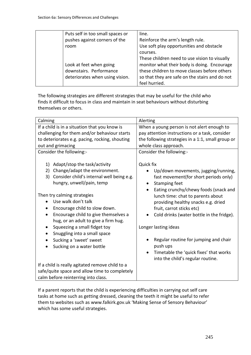|      | Puts self in too small spaces or | line.                                          |
|------|----------------------------------|------------------------------------------------|
|      | pushes against corners of the    | Reinforce the arm's length rule.               |
| room |                                  | Use soft play opportunities and obstacle       |
|      |                                  | courses.                                       |
|      |                                  | These children need to use vision to visually  |
|      | Look at feet when going          | monitor what their body is doing. Encourage    |
|      | downstairs. Performance          | these children to move classes before others   |
|      | deteriorates when using vision.  | so that they are safe on the stairs and do not |
|      |                                  | feel hurried.                                  |

The following strategies are different strategies that may be useful for the child who finds it difficult to focus in class and maintain in seat behaviours without disturbing themselves or others.

| Calming                                                                                                                                                                                                                                                                                                                                                                                                                                                                                                                                                                                     | Alerting                                                                                                                                                                                                                                                                                                                                                                                                                                                                                                |
|---------------------------------------------------------------------------------------------------------------------------------------------------------------------------------------------------------------------------------------------------------------------------------------------------------------------------------------------------------------------------------------------------------------------------------------------------------------------------------------------------------------------------------------------------------------------------------------------|---------------------------------------------------------------------------------------------------------------------------------------------------------------------------------------------------------------------------------------------------------------------------------------------------------------------------------------------------------------------------------------------------------------------------------------------------------------------------------------------------------|
| If a child is in a situation that you know is                                                                                                                                                                                                                                                                                                                                                                                                                                                                                                                                               | When a young person is not alert enough to                                                                                                                                                                                                                                                                                                                                                                                                                                                              |
| challenging for them and/or behaviour starts                                                                                                                                                                                                                                                                                                                                                                                                                                                                                                                                                | pay attention instructions or a task, consider                                                                                                                                                                                                                                                                                                                                                                                                                                                          |
| to deteriorates e.g. pacing, rocking, shouting                                                                                                                                                                                                                                                                                                                                                                                                                                                                                                                                              | the following strategies in a 1:1, small group or                                                                                                                                                                                                                                                                                                                                                                                                                                                       |
| out and grimacing                                                                                                                                                                                                                                                                                                                                                                                                                                                                                                                                                                           | whole class approach.                                                                                                                                                                                                                                                                                                                                                                                                                                                                                   |
| Consider the following:-                                                                                                                                                                                                                                                                                                                                                                                                                                                                                                                                                                    | Consider the following:-                                                                                                                                                                                                                                                                                                                                                                                                                                                                                |
| Adapt/stop the task/activity<br>1)<br>Change/adapt the environment.<br>2)<br>Consider child's internal well being e.g.<br>3)<br>hungry, unwell/pain, temp<br>Then try calming strategies<br>Use walk don't talk<br>Encourage child to slow down.<br>Encourage child to give themselves a<br>hug, or an adult to give a firm hug.<br>Squeezing a small fidget toy<br>$\bullet$<br>Snuggling into a small space<br>٠<br>Sucking a 'sweet' sweet<br>$\bullet$<br>Sucking on a water bottle<br>If a child is really agitated remove child to a<br>safe/quite space and allow time to completely | Quick fix<br>Up/down movements, jugging/running,<br>fast movement (for short periods only)<br><b>Stamping feet</b><br>$\bullet$<br>Eating crunchy/chewy foods (snack and<br>lunch time: chat to parents about<br>providing healthy snacks e.g. dried<br>fruit, carrot sticks etc)<br>Cold drinks (water bottle in the fridge).<br>Longer lasting ideas<br>Regular routine for jumping and chair<br>push ups<br>Timetable the 'quick fixes' that works<br>$\bullet$<br>into the child's regular routine. |
|                                                                                                                                                                                                                                                                                                                                                                                                                                                                                                                                                                                             |                                                                                                                                                                                                                                                                                                                                                                                                                                                                                                         |
| calm before reinterring into class.                                                                                                                                                                                                                                                                                                                                                                                                                                                                                                                                                         |                                                                                                                                                                                                                                                                                                                                                                                                                                                                                                         |

If a parent reports that the child is experiencing difficulties in carrying out self care tasks at home such as getting dressed, cleaning the teeth it might be useful to refer them to websites such as www.falkirk.gov.uk 'Making Sense of Sensory Behaviour' which has some useful strategies.